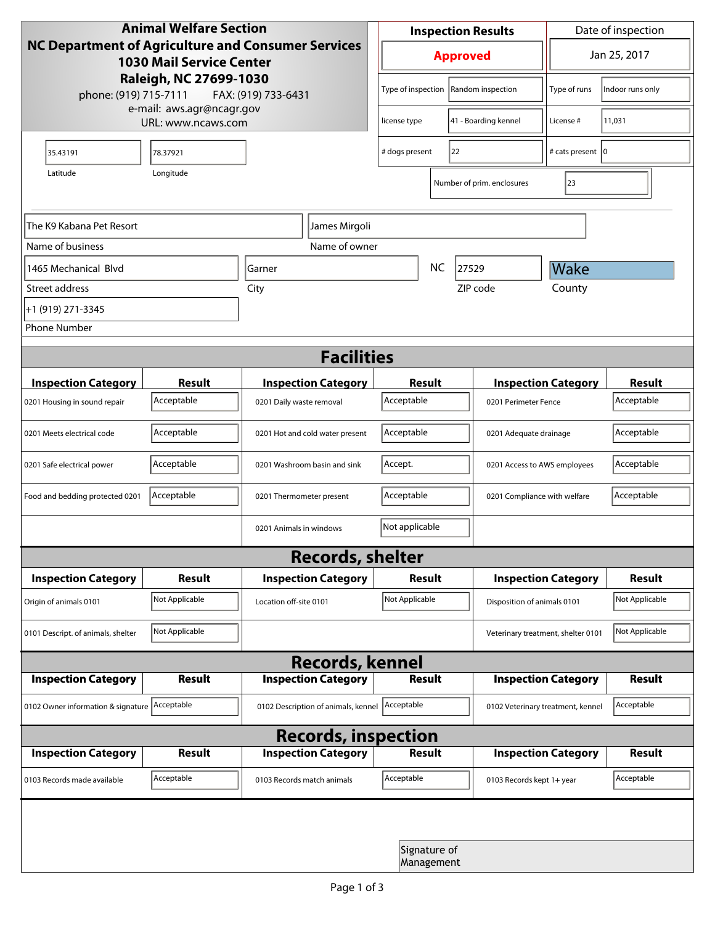|                                               | <b>Animal Welfare Section</b>                   |                                                           |                            |           | <b>Inspection Results</b>    |                                    | Date of inspection |
|-----------------------------------------------|-------------------------------------------------|-----------------------------------------------------------|----------------------------|-----------|------------------------------|------------------------------------|--------------------|
|                                               | <b>1030 Mail Service Center</b>                 | <b>NC Department of Agriculture and Consumer Services</b> |                            |           | <b>Approved</b>              |                                    | Jan 25, 2017       |
| phone: (919) 715-7111                         | Raleigh, NC 27699-1030                          | FAX: (919) 733-6431                                       | Type of inspection         |           | Random inspection            | Type of runs                       | Indoor runs only   |
|                                               | e-mail: aws.agr@ncagr.gov<br>URL: www.ncaws.com |                                                           | license type               |           | 41 - Boarding kennel         | License #                          | 11,031             |
| 35.43191                                      | 78.37921                                        |                                                           | # dogs present             |           | 22                           | # cats present   0                 |                    |
| Latitude                                      | Longitude                                       |                                                           |                            |           | Number of prim. enclosures   | 23                                 |                    |
| The K9 Kabana Pet Resort                      |                                                 | James Mirgoli                                             |                            |           |                              |                                    |                    |
| Name of business                              |                                                 | Name of owner                                             |                            |           |                              |                                    |                    |
| 1465 Mechanical Blvd                          |                                                 | Garner                                                    |                            | <b>NC</b> | 27529                        | Wake                               |                    |
| Street address                                |                                                 | City                                                      |                            |           | ZIP code                     | County                             |                    |
| +1 (919) 271-3345                             |                                                 |                                                           |                            |           |                              |                                    |                    |
| <b>Phone Number</b>                           |                                                 |                                                           |                            |           |                              |                                    |                    |
|                                               |                                                 | <b>Facilities</b>                                         |                            |           |                              |                                    |                    |
| <b>Inspection Category</b>                    | <b>Result</b>                                   | <b>Inspection Category</b>                                | <b>Result</b>              |           |                              | <b>Inspection Category</b>         | <b>Result</b>      |
| 0201 Housing in sound repair                  | Acceptable                                      | 0201 Daily waste removal                                  | Acceptable                 |           | 0201 Perimeter Fence         |                                    | Acceptable         |
| 0201 Meets electrical code                    | Acceptable                                      | 0201 Hot and cold water present                           | Acceptable                 |           | 0201 Adequate drainage       |                                    | Acceptable         |
| 0201 Safe electrical power                    | Acceptable                                      | 0201 Washroom basin and sink                              | Accept.                    |           | 0201 Access to AWS employees |                                    | Acceptable         |
| Food and bedding protected 0201               | Acceptable                                      | 0201 Thermometer present                                  | Acceptable                 |           | 0201 Compliance with welfare |                                    | Acceptable         |
|                                               |                                                 | 0201 Animals in windows                                   | Not applicable             |           |                              |                                    |                    |
|                                               |                                                 | <b>Records, shelter</b>                                   |                            |           |                              |                                    |                    |
| <b>Inspection Category</b>                    | <b>Result</b>                                   | <b>Inspection Category</b>                                | Result                     |           |                              | <b>Inspection Category</b>         | <b>Result</b>      |
| Origin of animals 0101                        | Not Applicable                                  | Location off-site 0101                                    | Not Applicable             |           | Disposition of animals 0101  |                                    | Not Applicable     |
| 0101 Descript. of animals, shelter            | Not Applicable                                  |                                                           |                            |           |                              | Veterinary treatment, shelter 0101 | Not Applicable     |
|                                               |                                                 | <b>Records, kennel</b>                                    |                            |           |                              |                                    |                    |
| <b>Inspection Category</b>                    | Result                                          | <b>Inspection Category</b>                                | <b>Result</b>              |           |                              | <b>Inspection Category</b>         | Result             |
| 0102 Owner information & signature Acceptable |                                                 | 0102 Description of animals, kennel                       | Acceptable                 |           |                              | 0102 Veterinary treatment, kennel  | Acceptable         |
|                                               |                                                 | <b>Records, inspection</b>                                |                            |           |                              |                                    |                    |
| <b>Inspection Category</b>                    | <b>Result</b>                                   | <b>Inspection Category</b>                                | <b>Result</b>              |           |                              | <b>Inspection Category</b>         | <b>Result</b>      |
| 0103 Records made available                   | Acceptable                                      | 0103 Records match animals                                | Acceptable                 |           | 0103 Records kept 1+ year    |                                    | Acceptable         |
|                                               |                                                 |                                                           |                            |           |                              |                                    |                    |
|                                               |                                                 |                                                           | Signature of<br>Management |           |                              |                                    |                    |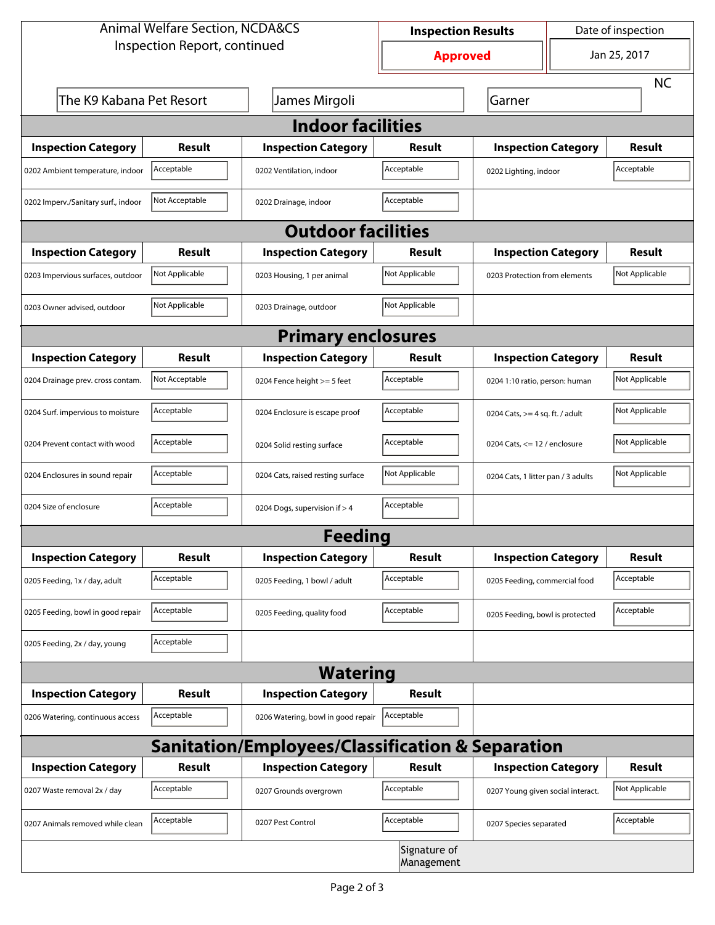|                                     | <b>Animal Welfare Section, NCDA&amp;CS</b> |                                                             | <b>Inspection Results</b>  |                                    | Date of inspection |
|-------------------------------------|--------------------------------------------|-------------------------------------------------------------|----------------------------|------------------------------------|--------------------|
|                                     | Inspection Report, continued               |                                                             | <b>Approved</b>            |                                    | Jan 25, 2017       |
|                                     |                                            |                                                             |                            |                                    | <b>NC</b>          |
| The K9 Kabana Pet Resort            |                                            | James Mirgoli                                               |                            | Garner                             |                    |
|                                     |                                            | <b>Indoor facilities</b>                                    |                            |                                    |                    |
| <b>Inspection Category</b>          | Result                                     | <b>Inspection Category</b>                                  | Result                     | <b>Inspection Category</b>         | <b>Result</b>      |
| 0202 Ambient temperature, indoor    | Acceptable                                 | 0202 Ventilation, indoor                                    | Acceptable                 | 0202 Lighting, indoor              | Acceptable         |
| 0202 Imperv./Sanitary surf., indoor | Not Acceptable                             | 0202 Drainage, indoor                                       | Acceptable                 |                                    |                    |
|                                     |                                            | <b>Outdoor facilities</b>                                   |                            |                                    |                    |
| <b>Inspection Category</b>          | <b>Result</b>                              | <b>Inspection Category</b>                                  | Result                     | <b>Inspection Category</b>         | <b>Result</b>      |
| 0203 Impervious surfaces, outdoor   | Not Applicable                             | 0203 Housing, 1 per animal                                  | Not Applicable             | 0203 Protection from elements      | Not Applicable     |
| 0203 Owner advised, outdoor         | Not Applicable                             | 0203 Drainage, outdoor                                      | Not Applicable             |                                    |                    |
|                                     |                                            | <b>Primary enclosures</b>                                   |                            |                                    |                    |
| <b>Inspection Category</b>          | Result                                     | <b>Inspection Category</b>                                  | Result                     | <b>Inspection Category</b>         | <b>Result</b>      |
| 0204 Drainage prev. cross contam.   | Not Acceptable                             | 0204 Fence height >= 5 feet                                 | Acceptable                 | 0204 1:10 ratio, person: human     | Not Applicable     |
| 0204 Surf. impervious to moisture   | Acceptable                                 | 0204 Enclosure is escape proof                              | Acceptable                 | 0204 Cats, $>=$ 4 sq. ft. / adult  | Not Applicable     |
| 0204 Prevent contact with wood      | Acceptable                                 | 0204 Solid resting surface                                  | Acceptable                 | 0204 Cats, $<= 12$ / enclosure     | Not Applicable     |
| 0204 Enclosures in sound repair     | Acceptable                                 | 0204 Cats, raised resting surface                           | Not Applicable             | 0204 Cats, 1 litter pan / 3 adults | Not Applicable     |
| 0204 Size of enclosure              | Acceptable                                 | 0204 Dogs, supervision if > 4                               | Acceptable                 |                                    |                    |
|                                     |                                            | <b>Feeding</b>                                              |                            |                                    |                    |
| <b>Inspection Category</b>          | <b>Result</b>                              | <b>Inspection Category</b>                                  | <b>Result</b>              | <b>Inspection Category</b>         | <b>Result</b>      |
| 0205 Feeding, 1x / day, adult       | Acceptable                                 | 0205 Feeding, 1 bowl / adult                                | Acceptable                 | 0205 Feeding, commercial food      | Acceptable         |
| 0205 Feeding, bowl in good repair   | Acceptable                                 | 0205 Feeding, quality food                                  | Acceptable                 | 0205 Feeding, bowl is protected    | Acceptable         |
| 0205 Feeding, 2x / day, young       | Acceptable                                 |                                                             |                            |                                    |                    |
|                                     |                                            | <b>Watering</b>                                             |                            |                                    |                    |
| <b>Inspection Category</b>          | <b>Result</b>                              | <b>Inspection Category</b>                                  | Result                     |                                    |                    |
| 0206 Watering, continuous access    | Acceptable                                 | 0206 Watering, bowl in good repair                          | Acceptable                 |                                    |                    |
|                                     |                                            | <b>Sanitation/Employees/Classification &amp; Separation</b> |                            |                                    |                    |
| <b>Inspection Category</b>          | <b>Result</b>                              | <b>Inspection Category</b>                                  | Result                     | <b>Inspection Category</b>         | Result             |
| 0207 Waste removal 2x / day         | Acceptable                                 | 0207 Grounds overgrown                                      | Acceptable                 | 0207 Young given social interact.  | Not Applicable     |
| 0207 Animals removed while clean    | Acceptable                                 | 0207 Pest Control                                           | Acceptable                 | 0207 Species separated             | Acceptable         |
|                                     |                                            |                                                             | Signature of<br>Management |                                    |                    |